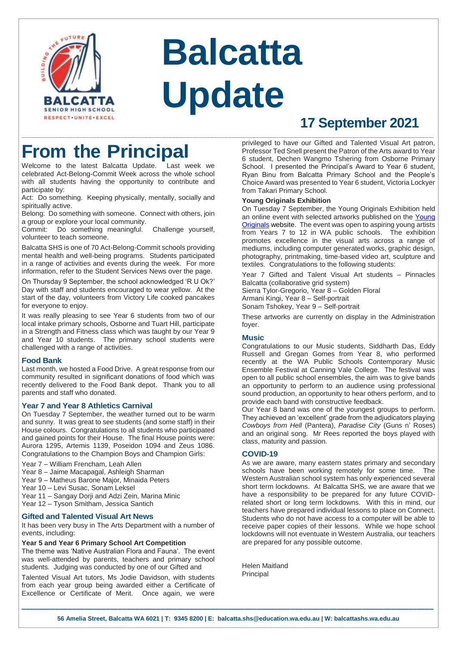

# **Balcatta Update**

## **17 September 2021 \_\_\_\_\_\_\_\_\_\_\_\_\_\_\_\_\_\_\_\_\_\_\_\_\_\_\_\_\_\_\_\_\_\_\_\_\_\_\_\_\_\_\_\_\_\_\_\_\_\_\_\_\_\_\_\_\_\_\_\_\_\_\_\_\_\_\_\_\_\_\_\_\_\_\_\_\_\_\_\_\_\_\_\_\_\_\_\_\_\_\_\_\_\_\_\_\_\_\_\_\_\_\_\_\_\_\_\_\_\_\_\_\_\_\_\_\_\_\_**

# **From the Principal**

Welcome to the latest Balcatta Update. Last week we celebrated Act-Belong-Commit Week across the whole school with all students having the opportunity to contribute and participate by:

Act: Do something. Keeping physically, mentally, socially and spiritually active.

Belong: Do something with someone. Connect with others, join a group or explore your local community.

Commit: Do something meaningful. Challenge yourself, volunteer to teach someone.

Balcatta SHS is one of 70 Act-Belong-Commit schools providing mental health and well-being programs. Students participated in a range of activities and events during the week. For more information, refer to the Student Services News over the page.

On Thursday 9 September, the school acknowledged 'R U Ok?' Day with staff and students encouraged to wear yellow. At the start of the day, volunteers from Victory Life cooked pancakes for everyone to enjoy.

It was really pleasing to see Year 6 students from two of our local intake primary schools, Osborne and Tuart Hill, participate in a Strength and Fitness class which was taught by our Year 9 and Year 10 students. The primary school students were challenged with a range of activities.

#### **Food Bank**

Last month, we hosted a Food Drive. A great response from our community resulted in significant donations of food which was recently delivered to the Food Bank depot. Thank you to all parents and staff who donated.

#### **Year 7 and Year 8 Athletics Carnival**

On Tuesday 7 September, the weather turned out to be warm and sunny. It was great to see students (and some staff) in their House colours. Congratulations to all students who participated and gained points for their House. The final House points were: Aurora 1295, Artemis 1139, Poseidon 1094 and Zeus 1086. Congratulations to the Champion Boys and Champion Girls:

Year 7 – William Frencham, Leah Allen

- Year 8 Jaime Macapagal, Ashleigh Sharman
- Year 9 Matheus Barone Major, Minaida Peters
- Year 10 Levi Susac, Sonam Leksel
- Year 11 Sangay Dorji and Adzi Zein, Marina Minic
- Year 12 Tyson Smitham, Jessica Santich

#### **Gifted and Talented Visual Art News**

It has been very busy in The Arts Department with a number of events, including:

#### **Year 5 and Year 6 Primary School Art Competition**

The theme was 'Native Australian Flora and Fauna'. The event was well-attended by parents, teachers and primary school students. Judging was conducted by one of our Gifted and

Talented Visual Art tutors, Ms Jodie Davidson, with students from each year group being awarded either a Certificate of Excellence or Certificate of Merit. Once again, we were

privileged to have our Gifted and Talented Visual Art patron, Professor Ted Snell present the Patron of the Arts award to Year 6 student, Dechen Wangmo Tshering from Osborne Primary School. I presented the Principal's Award to Year 6 student, Ryan Binu from Balcatta Primary School and the People's Choice Award was presented to Year 6 student, Victoria Lockyer from Takari Primary School.

#### **Young Originals Exhibition**

On Tuesday 7 September, the Young Originals Exhibition held an online event with selected artworks published on the [Young](https://youngoriginals.com.au/)  [Originals](https://youngoriginals.com.au/) website. The event was open to aspiring young artists from Years 7 to 12 in WA public schools. The exhibition promotes excellence in the visual arts across a range of mediums, including computer generated works, graphic design, photography, printmaking, time-based video art, sculpture and textiles. Congratulations to the following students:

Year 7 Gifted and Talent Visual Art students – Pinnacles Balcatta (collaborative grid system) Sierra Tylor-Gregorio, Year 8 – Golden Floral Armani Kingi, Year 8 – Self-portrait Sonam Tshokey, Year 9 – Self-portrait

These artworks are currently on display in the Administration foyer.

#### **Music**

Congratulations to our Music students, Siddharth Das, Eddy Russell and Gregan Gomes from Year 8, who performed recently at the WA Public Schools Contemporary Music Ensemble Festival at Canning Vale College. The festival was open to all public school ensembles, the aim was to give bands an opportunity to perform to an audience using professional sound production, an opportunity to hear others perform, and to provide each band with constructive feedback.

Our Year 8 band was one of the youngest groups to perform. They achieved an 'excellent' grade from the adjudicators playing *Cowboys from Hell* (Pantera), *Paradise City* (Guns n' Roses) and an original song. Mr Rees reported the boys played with class, maturity and passion.

#### **COVID-19**

As we are aware, many eastern states primary and secondary schools have been working remotely for some time. The Western Australian school system has only experienced several short term lockdowns. At Balcatta SHS, we are aware that we have a responsibility to be prepared for any future COVIDrelated short or long term lockdowns. With this in mind, our teachers have prepared individual lessons to place on Connect. Students who do not have access to a computer will be able to receive paper copies of their lessons. While we hope school lockdowns will not eventuate in Western Australia, our teachers are prepared for any possible outcome.

Helen Maitland Principal